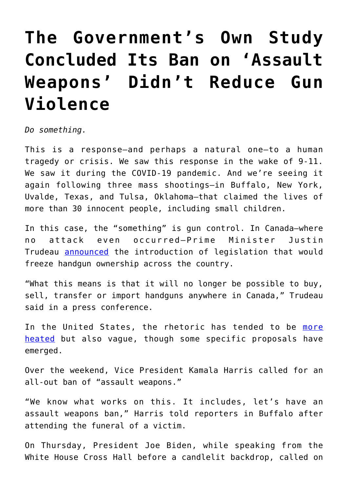## **[The Government's Own Study](https://intellectualtakeout.org/2022/06/the-governments-own-study-concluded-its-ban-on-assault-weapons-didnt-reduce-gun-violence/) [Concluded Its Ban on 'Assault](https://intellectualtakeout.org/2022/06/the-governments-own-study-concluded-its-ban-on-assault-weapons-didnt-reduce-gun-violence/) [Weapons' Didn't Reduce Gun](https://intellectualtakeout.org/2022/06/the-governments-own-study-concluded-its-ban-on-assault-weapons-didnt-reduce-gun-violence/) [Violence](https://intellectualtakeout.org/2022/06/the-governments-own-study-concluded-its-ban-on-assault-weapons-didnt-reduce-gun-violence/)**

*Do something.*

This is a response—and perhaps a natural one—to a human tragedy or crisis. We saw this response in the wake of 9-11. We saw it during the COVID-19 pandemic. And we're seeing it again following three mass shootings—in Buffalo, New York, Uvalde, Texas, and Tulsa, Oklahoma—that claimed the lives of more than 30 innocent people, including small children.

In this case, the "something" is gun control. In Canada—where no attack even occurred—Prime Minister Justin Trudeau [announced](https://www.cnn.com/2022/05/30/americas/canada-handgun-sales-cap/index.html) the introduction of legislation that would freeze handgun ownership across the country.

"What this means is that it will no longer be possible to buy, sell, transfer or import handguns anywhere in Canada," Trudeau said in a press conference.

In the United States, the rhetoric has tended to be [more](https://twitter.com/StephenKing/status/1529209105533091840) [heated](https://twitter.com/StephenKing/status/1529209105533091840) but also vague, though some specific proposals have emerged.

Over the weekend, Vice President Kamala Harris called for an all-out ban of "assault weapons."

"We know what works on this. It includes, let's have an assault weapons ban," Harris told reporters in Buffalo after attending the funeral of a victim.

On Thursday, President Joe Biden, while speaking from the White House Cross Hall before a candlelit backdrop, called on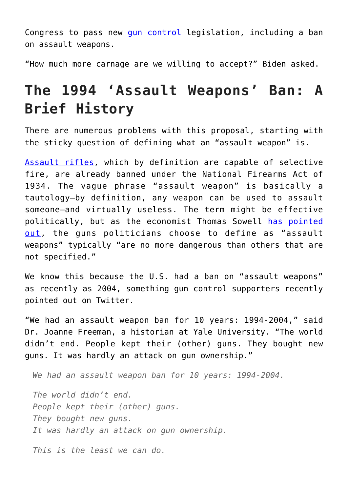Congress to pass new [gun control](https://fee.org/articles/guns-prevent-thousands-of-crimes-every-day-research-show/) legislation, including a ban on assault weapons.

"How much more carnage are we willing to accept?" Biden asked.

## **The 1994 'Assault Weapons' Ban: A Brief History**

There are numerous problems with this proposal, starting with the sticky question of defining what an "assault weapon" is.

[Assault rifles,](https://en.wikipedia.org/wiki/Assault_rifle) which by definition are capable of selective fire, are already banned under the National Firearms Act of 1934. The vague phrase "assault weapon" is basically a tautology—by definition, any weapon can be used to assault someone—and virtually useless. The term might be effective politically, but as the economist Thomas Sowell [has pointed](https://www.dispatch.com/story/opinion/cartoons/2013/04/16/thomas-sowell-commentary-gun-laws/24194328007/) [out,](https://www.dispatch.com/story/opinion/cartoons/2013/04/16/thomas-sowell-commentary-gun-laws/24194328007/) the guns politicians choose to define as "assault weapons" typically "are no more dangerous than others that are not specified."

We know this because the U.S. had a ban on "assault weapons" as recently as 2004, something gun control supporters recently pointed out on Twitter.

"We had an assault weapon ban for 10 years: 1994-2004," said Dr. Joanne Freeman, a historian at Yale University. "The world didn't end. People kept their (other) guns. They bought new guns. It was hardly an attack on gun ownership."

*We had an assault weapon ban for 10 years: 1994-2004.*

*The world didn't end. People kept their (other) guns. They bought new guns. It was hardly an attack on gun ownership.*

*This is the least we can do.*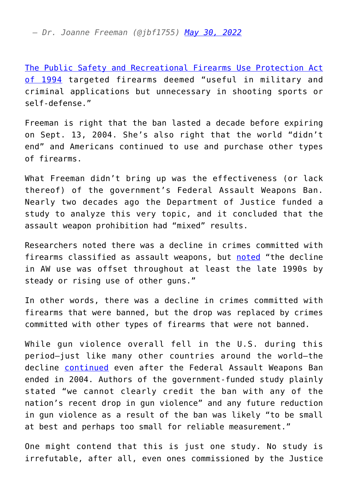*— Dr. Joanne Freeman (@jbf1755) [May 30, 2022](https://twitter.com/jbf1755/status/1531111818676129795?ref_src=twsrc%5Etfw)*

[The Public Safety and Recreational Firearms Use Protection Act](https://www.congress.gov/bill/103rd-congress/house-bill/4296) [of 1994](https://www.congress.gov/bill/103rd-congress/house-bill/4296) targeted firearms deemed "useful in military and criminal applications but unnecessary in shooting sports or self-defense."

Freeman is right that the ban lasted a decade before expiring on Sept. 13, 2004. She's also right that the world "didn't end" and Americans continued to use and purchase other types of firearms.

What Freeman didn't bring up was the effectiveness (or lack thereof) of the government's Federal Assault Weapons Ban. Nearly two decades ago the Department of Justice funded a study to analyze this very topic, and it concluded that the assault weapon prohibition had "mixed" results.

Researchers noted there was a decline in crimes committed with firearms classified as assault weapons, but [noted](https://www.ojp.gov/pdffiles1/nij/grants/204431.pdf) "the decline in AW use was offset throughout at least the late 1990s by steady or rising use of other guns."

In other words, there was a decline in crimes committed with firearms that were banned, but the drop was replaced by crimes committed with other types of firearms that were not banned.

While gun violence overall fell in the U.S. during this period—just like many other countries around the world—the decline [continued](https://www.pewresearch.org/social-trends/2013/05/07/gun-homicide-rate-down-49-since-1993-peak-public-unaware/) even after the Federal Assault Weapons Ban ended in 2004. Authors of the government-funded study plainly stated "we cannot clearly credit the ban with any of the nation's recent drop in gun violence" and any future reduction in gun violence as a result of the ban was likely "to be small at best and perhaps too small for reliable measurement."

One might contend that this is just one study. No study is irrefutable, after all, even ones commissioned by the Justice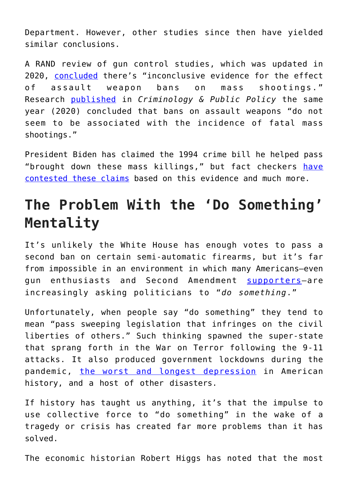Department. However, other studies since then have yielded similar conclusions.

A RAND review of gun control studies, which was updated in 2020, [concluded](https://www.rand.org/pubs/research_reports/RR2088-1.html) there's "inconclusive evidence for the effect of assault weapon bans on mass shootings." Research [published](https://onlinelibrary.wiley.com/doi/full/10.1111/1745-9133.12487) in *Criminology & Public Policy* the same year (2020) concluded that bans on assault weapons "do not seem to be associated with the incidence of fatal mass shootings."

President Biden has claimed the 1994 crime bill he helped pass "brought down these mass killings," but fact checkers [have](https://www.factcheck.org/2021/03/factchecking-bidens-claim-that-assault-weapons-ban-worked/) [contested these claims](https://www.factcheck.org/2021/03/factchecking-bidens-claim-that-assault-weapons-ban-worked/) based on this evidence and much more.

## **The Problem With the 'Do Something' Mentality**

It's unlikely the White House has enough votes to pass a second ban on certain semi-automatic firearms, but it's far from impossible in an environment in which many Americans—even gun enthusiasts and Second Amendment [supporters](https://www.pbs.org/newshour/politics/what-action-should-be-taken-on-guns-we-asked-every-senator)—are increasingly asking politicians to "*do something*."

Unfortunately, when people say "do something" they tend to mean "pass sweeping legislation that infringes on the civil liberties of others." Such thinking spawned the super-state that sprang forth in the War on Terror following the 9-11 attacks. It also produced government lockdowns during the pandemic, [the worst and longest depression](https://fee.org/resources/great-myths-of-the-great-depression/) in American history, and a host of other disasters.

If history has taught us anything, it's that the impulse to use collective force to "do something" in the wake of a tragedy or crisis has created far more problems than it has solved.

The economic historian Robert Higgs has noted that the most